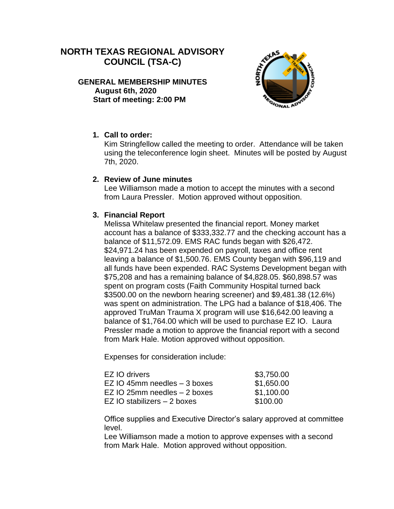# **NORTH TEXAS REGIONAL ADVISORY COUNCIL (TSA-C)**

**GENERAL MEMBERSHIP MINUTES August 6th, 2020 Start of meeting: 2:00 PM**



## **1. Call to order:**

Kim Stringfellow called the meeting to order. Attendance will be taken using the teleconference login sheet. Minutes will be posted by August 7th, 2020.

#### **2. Review of June minutes**

Lee Williamson made a motion to accept the minutes with a second from Laura Pressler. Motion approved without opposition.

## **3. Financial Report**

Melissa Whitelaw presented the financial report. Money market account has a balance of \$333,332.77 and the checking account has a balance of \$11,572.09. EMS RAC funds began with \$26,472. \$24,971.24 has been expended on payroll, taxes and office rent leaving a balance of \$1,500.76. EMS County began with \$96,119 and all funds have been expended. RAC Systems Development began with \$75,208 and has a remaining balance of \$4,828.05. \$60,898.57 was spent on program costs (Faith Community Hospital turned back \$3500.00 on the newborn hearing screener) and \$9,481.38 (12.6%) was spent on administration. The LPG had a balance of \$18,406. The approved TruMan Trauma X program will use \$16,642.00 leaving a balance of \$1,764.00 which will be used to purchase EZ IO. Laura Pressler made a motion to approve the financial report with a second from Mark Hale. Motion approved without opposition.

Expenses for consideration include:

| EZ IO drivers                     | \$3,750.00 |
|-----------------------------------|------------|
| EZ IO 45mm needles $-3$ boxes     | \$1,650.00 |
| EZ IO 25 $mm$ needles $-$ 2 boxes | \$1,100.00 |
| EZ IO stabilizers – 2 boxes       | \$100.00   |

Office supplies and Executive Director's salary approved at committee level.

Lee Williamson made a motion to approve expenses with a second from Mark Hale. Motion approved without opposition.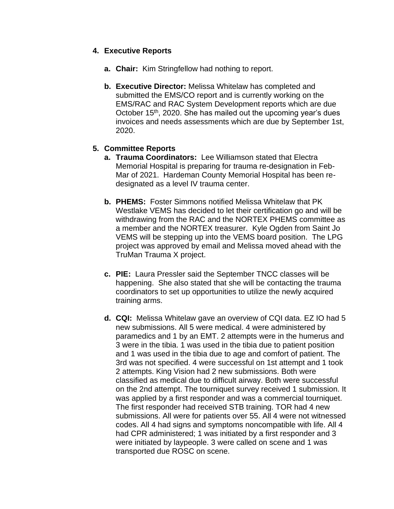## **4. Executive Reports**

- **a. Chair:** Kim Stringfellow had nothing to report.
- **b. Executive Director:** Melissa Whitelaw has completed and submitted the EMS/CO report and is currently working on the EMS/RAC and RAC System Development reports which are due October 15<sup>th</sup>, 2020. She has mailed out the upcoming year's dues invoices and needs assessments which are due by September 1st, 2020.

## **5. Committee Reports**

- **a. Trauma Coordinators:** Lee Williamson stated that Electra Memorial Hospital is preparing for trauma re-designation in Feb-Mar of 2021. Hardeman County Memorial Hospital has been redesignated as a level IV trauma center.
- **b. PHEMS:** Foster Simmons notified Melissa Whitelaw that PK Westlake VEMS has decided to let their certification go and will be withdrawing from the RAC and the NORTEX PHEMS committee as a member and the NORTEX treasurer. Kyle Ogden from Saint Jo VEMS will be stepping up into the VEMS board position. The LPG project was approved by email and Melissa moved ahead with the TruMan Trauma X project.
- **c. PIE:** Laura Pressler said the September TNCC classes will be happening. She also stated that she will be contacting the trauma coordinators to set up opportunities to utilize the newly acquired training arms.
- **d. CQI:** Melissa Whitelaw gave an overview of CQI data. EZ IO had 5 new submissions. All 5 were medical. 4 were administered by paramedics and 1 by an EMT. 2 attempts were in the humerus and 3 were in the tibia. 1 was used in the tibia due to patient position and 1 was used in the tibia due to age and comfort of patient. The 3rd was not specified. 4 were successful on 1st attempt and 1 took 2 attempts. King Vision had 2 new submissions. Both were classified as medical due to difficult airway. Both were successful on the 2nd attempt. The tourniquet survey received 1 submission. It was applied by a first responder and was a commercial tourniquet. The first responder had received STB training. TOR had 4 new submissions. All were for patients over 55. All 4 were not witnessed codes. All 4 had signs and symptoms noncompatible with life. All 4 had CPR administered; 1 was initiated by a first responder and 3 were initiated by laypeople. 3 were called on scene and 1 was transported due ROSC on scene.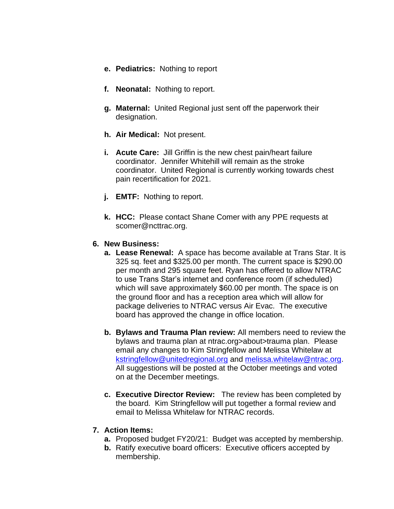- **e. Pediatrics:** Nothing to report
- **f. Neonatal:** Nothing to report.
- **g. Maternal:** United Regional just sent off the paperwork their designation.
- **h. Air Medical:** Not present.
- **i. Acute Care:** Jill Griffin is the new chest pain/heart failure coordinator. Jennifer Whitehill will remain as the stroke coordinator. United Regional is currently working towards chest pain recertification for 2021.
- **j. EMTF:** Nothing to report.
- **k. HCC:** Please contact Shane Comer with any PPE requests at scomer@ncttrac.org.

#### **6. New Business:**

- **a. Lease Renewal:** A space has become available at Trans Star. It is 325 sq. feet and \$325.00 per month. The current space is \$290.00 per month and 295 square feet. Ryan has offered to allow NTRAC to use Trans Star's internet and conference room (if scheduled) which will save approximately \$60.00 per month. The space is on the ground floor and has a reception area which will allow for package deliveries to NTRAC versus Air Evac. The executive board has approved the change in office location.
- **b. Bylaws and Trauma Plan review:** All members need to review the bylaws and trauma plan at ntrac.org>about>trauma plan. Please email any changes to Kim Stringfellow and Melissa Whitelaw at [kstringfellow@unitedregional.org](mailto:kstringfellow@unitedregional.org) and [melissa.whitelaw@ntrac.org.](mailto:melissa.whitelaw@ntrac.org) All suggestions will be posted at the October meetings and voted on at the December meetings.
- **c. Executive Director Review:** The review has been completed by the board. Kim Stringfellow will put together a formal review and email to Melissa Whitelaw for NTRAC records.

### **7. Action Items:**

- **a.** Proposed budget FY20/21: Budget was accepted by membership.
- **b.** Ratify executive board officers: Executive officers accepted by membership.